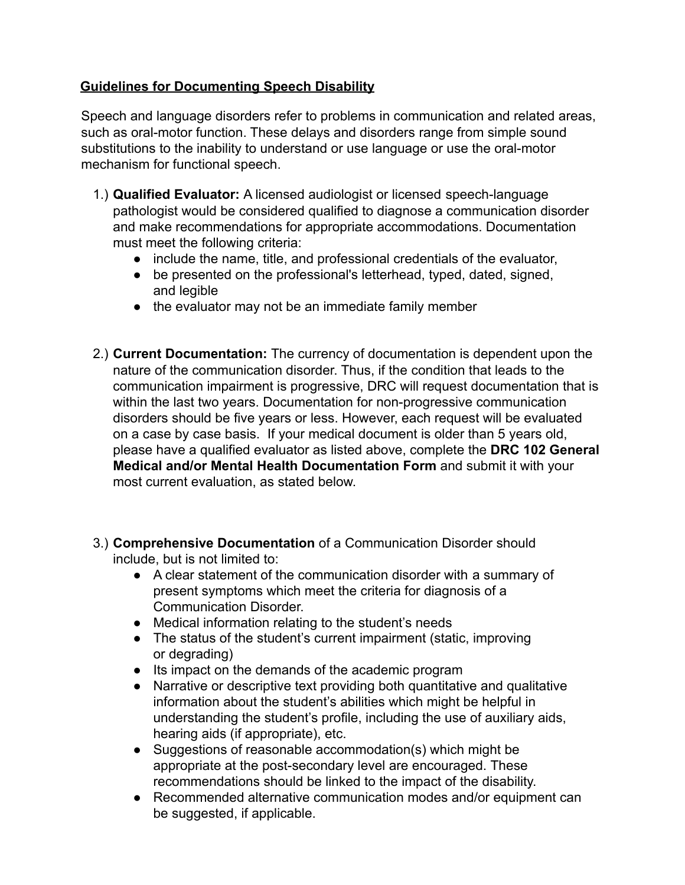## **Guidelines for Documenting Speech Disability**

Speech and language disorders refer to problems in communication and related areas, such as oral-motor function. These delays and disorders range from simple sound substitutions to the inability to understand or use language or use the oral-motor mechanism for functional speech.

- 1.) **Qualified Evaluator:** A licensed audiologist or licensed speech-language pathologist would be considered qualified to diagnose a communication disorder and make recommendations for appropriate accommodations. Documentation must meet the following criteria:
	- include the name, title, and professional credentials of the evaluator,
	- be presented on the professional's letterhead, typed, dated, signed, and legible
	- the evaluator may not be an immediate family member
- 2.) **Current Documentation:** The currency of documentation is dependent upon the nature of the communication disorder. Thus, if the condition that leads to the communication impairment is progressive, DRC will request documentation that is within the last two years. Documentation for non-progressive communication disorders should be five years or less. However, each request will be evaluated on a case by case basis. If your medical document is older than 5 years old, please have a qualified evaluator as listed above, complete the **DRC 102 General Medical and/or Mental Health Documentation Form** and submit it with your most current evaluation, as stated below.
- 3.) **Comprehensive Documentation** of a Communication Disorder should include, but is not limited to:
	- A clear statement of the communication disorder with a summary of present symptoms which meet the criteria for diagnosis of a Communication Disorder.
	- Medical information relating to the student's needs
	- The status of the student's current impairment (static, improving or degrading)
	- Its impact on the demands of the academic program
	- Narrative or descriptive text providing both quantitative and qualitative information about the student's abilities which might be helpful in understanding the student's profile, including the use of auxiliary aids, hearing aids (if appropriate), etc.
	- Suggestions of reasonable accommodation(s) which might be appropriate at the post-secondary level are encouraged. These recommendations should be linked to the impact of the disability.
	- Recommended alternative communication modes and/or equipment can be suggested, if applicable.